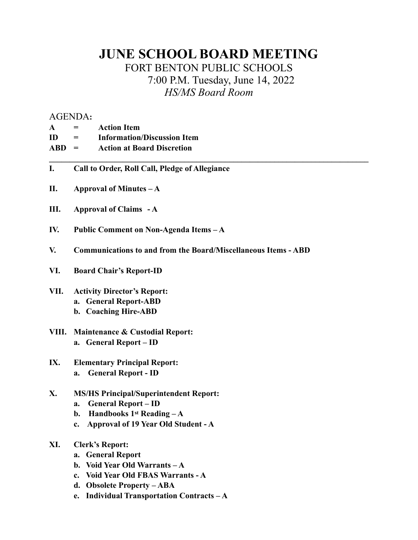## **JUNE SCHOOL BOARD MEETING** FORT BENTON PUBLIC SCHOOLS 7:00 P.M. Tuesday, June 14, 2022 *HS/MS Board Room*

 $\mathcal{L}_\mathcal{L} = \{ \mathcal{L}_\mathcal{L} = \{ \mathcal{L}_\mathcal{L} = \{ \mathcal{L}_\mathcal{L} = \{ \mathcal{L}_\mathcal{L} = \{ \mathcal{L}_\mathcal{L} = \{ \mathcal{L}_\mathcal{L} = \{ \mathcal{L}_\mathcal{L} = \{ \mathcal{L}_\mathcal{L} = \{ \mathcal{L}_\mathcal{L} = \{ \mathcal{L}_\mathcal{L} = \{ \mathcal{L}_\mathcal{L} = \{ \mathcal{L}_\mathcal{L} = \{ \mathcal{L}_\mathcal{L} = \{ \mathcal{L}_\mathcal{$ 

## AGENDA**:**

| <b>Action Item</b><br>$\mathbf A$ |
|-----------------------------------|
|                                   |

| ID<br><b>Information/Discussion Item</b> |
|------------------------------------------|
|------------------------------------------|

- **ABD = Action at Board Discretion**
- **I. Call to Order, Roll Call, Pledge of Allegiance**
- **II. Approval of Minutes A**
- **III. Approval of Claims A**
- **IV. Public Comment on Non-Agenda Items A**
- **V. Communications to and from the Board/Miscellaneous Items ABD**
- **VI. Board Chair's Report-ID**
- **VII. Activity Director's Report: a. General Report-ABD b. Coaching Hire-ABD**
- **VIII. Maintenance & Custodial Report: a. General Report – ID**
- **IX. Elementary Principal Report: a. General Report - ID**
- **X. MS/HS Principal/Superintendent Report:**
	- **a. General Report ID**
	- **b. Handbooks 1st Reading A**
	- **c. Approval of 19 Year Old Student A**
- **XI. Clerk's Report:**
	- **a. General Report**
	- **b. Void Year Old Warrants A**
	- **c. Void Year Old FBAS Warrants A**
	- **d. Obsolete Property ABA**
	- **e. Individual Transportation Contracts A**